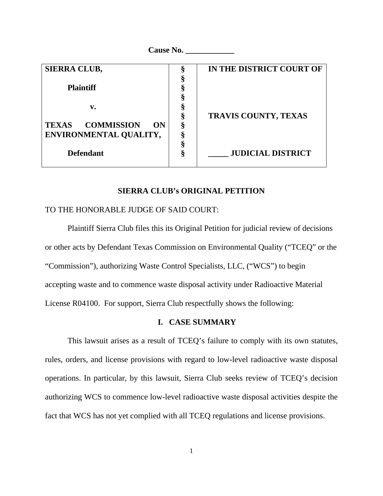| <b>Cause No.</b>                 |   |                          |
|----------------------------------|---|--------------------------|
| <b>SIERRA CLUB,</b>              | § | IN THE DISTRICT COURT OF |
|                                  |   |                          |
| <b>Plaintiff</b>                 |   |                          |
|                                  |   |                          |
| v.                               |   |                          |
|                                  | ş | TRAVIS COUNTY, TEXAS     |
| <b>COMMISSION</b><br>TEXAS<br>ON |   |                          |
| ENVIRONMENTAL QUALITY,           |   |                          |
|                                  |   |                          |
| <b>Defendant</b>                 | ş | <b>JUDICIAL DISTRICT</b> |
|                                  |   |                          |

### **SIERRA CLUB's ORIGINAL PETITION**

### TO THE HONORABLE JUDGE OF SAID COURT:

 Plaintiff Sierra Club files this its Original Petition for judicial review of decisions or other acts by Defendant Texas Commission on Environmental Quality ("TCEQ" or the "Commission"), authorizing Waste Control Specialists, LLC, ("WCS") to begin accepting waste and to commence waste disposal activity under Radioactive Material License R04100. For support, Sierra Club respectfully shows the following:

#### **I. CASE SUMMARY**

 This lawsuit arises as a result of TCEQ's failure to comply with its own statutes, rules, orders, and license provisions with regard to low-level radioactive waste disposal operations. In particular, by this lawsuit, Sierra Club seeks review of TCEQ's decision authorizing WCS to commence low-level radioactive waste disposal activities despite the fact that WCS has not yet complied with all TCEQ regulations and license provisions.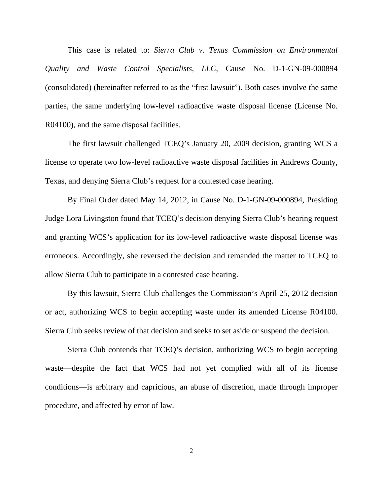This case is related to: *Sierra Club v. Texas Commission on Environmental Quality and Waste Control Specialists, LLC*, Cause No. D-1-GN-09-000894 (consolidated) (hereinafter referred to as the "first lawsuit"). Both cases involve the same parties, the same underlying low-level radioactive waste disposal license (License No. R04100), and the same disposal facilities.

 The first lawsuit challenged TCEQ's January 20, 2009 decision, granting WCS a license to operate two low-level radioactive waste disposal facilities in Andrews County, Texas, and denying Sierra Club's request for a contested case hearing.

 By Final Order dated May 14, 2012, in Cause No. D-1-GN-09-000894, Presiding Judge Lora Livingston found that TCEQ's decision denying Sierra Club's hearing request and granting WCS's application for its low-level radioactive waste disposal license was erroneous. Accordingly, she reversed the decision and remanded the matter to TCEQ to allow Sierra Club to participate in a contested case hearing.

 By this lawsuit, Sierra Club challenges the Commission's April 25, 2012 decision or act, authorizing WCS to begin accepting waste under its amended License R04100. Sierra Club seeks review of that decision and seeks to set aside or suspend the decision.

 Sierra Club contends that TCEQ's decision, authorizing WCS to begin accepting waste—despite the fact that WCS had not yet complied with all of its license conditions—is arbitrary and capricious, an abuse of discretion, made through improper procedure, and affected by error of law.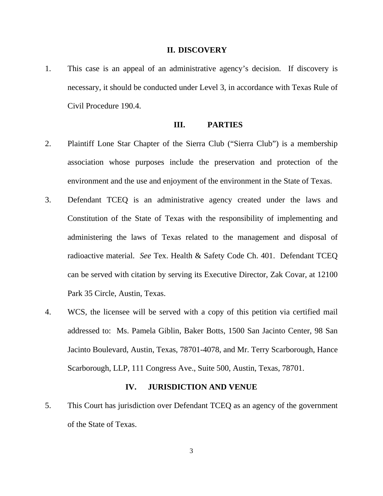#### **II. DISCOVERY**

1. This case is an appeal of an administrative agency's decision. If discovery is necessary, it should be conducted under Level 3, in accordance with Texas Rule of Civil Procedure 190.4.

## **III. PARTIES**

- 2. Plaintiff Lone Star Chapter of the Sierra Club ("Sierra Club") is a membership association whose purposes include the preservation and protection of the environment and the use and enjoyment of the environment in the State of Texas.
- 3. Defendant TCEQ is an administrative agency created under the laws and Constitution of the State of Texas with the responsibility of implementing and administering the laws of Texas related to the management and disposal of radioactive material. *See* Tex. Health & Safety Code Ch. 401. Defendant TCEQ can be served with citation by serving its Executive Director, Zak Covar, at 12100 Park 35 Circle, Austin, Texas.
- 4. WCS, the licensee will be served with a copy of this petition via certified mail addressed to: Ms. Pamela Giblin, Baker Botts, 1500 San Jacinto Center, 98 San Jacinto Boulevard, Austin, Texas, 78701-4078, and Mr. Terry Scarborough, Hance Scarborough, LLP, 111 Congress Ave., Suite 500, Austin, Texas, 78701.

### **IV. JURISDICTION AND VENUE**

5. This Court has jurisdiction over Defendant TCEQ as an agency of the government of the State of Texas.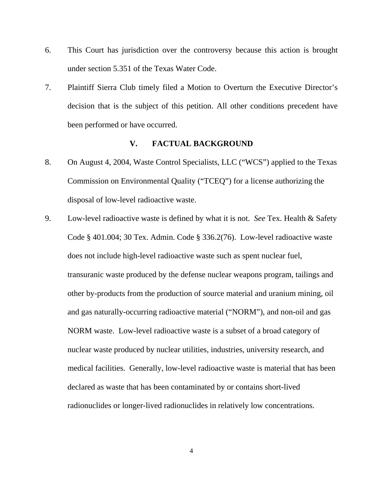- 6. This Court has jurisdiction over the controversy because this action is brought under section 5.351 of the Texas Water Code.
- 7. Plaintiff Sierra Club timely filed a Motion to Overturn the Executive Director's decision that is the subject of this petition. All other conditions precedent have been performed or have occurred.

# **V. FACTUAL BACKGROUND**

- 8. On August 4, 2004, Waste Control Specialists, LLC ("WCS") applied to the Texas Commission on Environmental Quality ("TCEQ") for a license authorizing the disposal of low-level radioactive waste.
- 9. Low-level radioactive waste is defined by what it is not. *See* Tex. Health & Safety Code § 401.004; 30 Tex. Admin. Code § 336.2(76). Low-level radioactive waste does not include high-level radioactive waste such as spent nuclear fuel, transuranic waste produced by the defense nuclear weapons program, tailings and other by-products from the production of source material and uranium mining, oil and gas naturally-occurring radioactive material ("NORM"), and non-oil and gas NORM waste. Low-level radioactive waste is a subset of a broad category of nuclear waste produced by nuclear utilities, industries, university research, and medical facilities. Generally, low-level radioactive waste is material that has been declared as waste that has been contaminated by or contains short-lived radionuclides or longer-lived radionuclides in relatively low concentrations.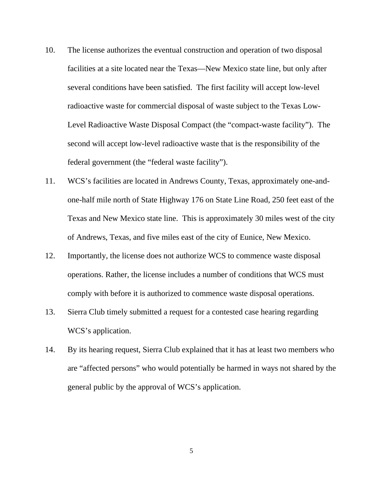- 10. The license authorizes the eventual construction and operation of two disposal facilities at a site located near the Texas—New Mexico state line, but only after several conditions have been satisfied. The first facility will accept low-level radioactive waste for commercial disposal of waste subject to the Texas Low-Level Radioactive Waste Disposal Compact (the "compact-waste facility"). The second will accept low-level radioactive waste that is the responsibility of the federal government (the "federal waste facility").
- 11. WCS's facilities are located in Andrews County, Texas, approximately one-andone-half mile north of State Highway 176 on State Line Road, 250 feet east of the Texas and New Mexico state line. This is approximately 30 miles west of the city of Andrews, Texas, and five miles east of the city of Eunice, New Mexico.
- 12. Importantly, the license does not authorize WCS to commence waste disposal operations. Rather, the license includes a number of conditions that WCS must comply with before it is authorized to commence waste disposal operations.
- 13. Sierra Club timely submitted a request for a contested case hearing regarding WCS's application.
- 14. By its hearing request, Sierra Club explained that it has at least two members who are "affected persons" who would potentially be harmed in ways not shared by the general public by the approval of WCS's application.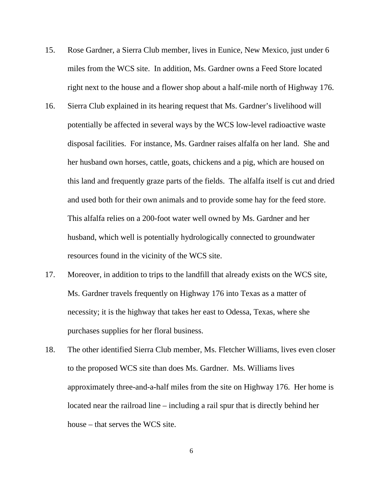- 15. Rose Gardner, a Sierra Club member, lives in Eunice, New Mexico, just under 6 miles from the WCS site. In addition, Ms. Gardner owns a Feed Store located right next to the house and a flower shop about a half-mile north of Highway 176.
- 16. Sierra Club explained in its hearing request that Ms. Gardner's livelihood will potentially be affected in several ways by the WCS low-level radioactive waste disposal facilities. For instance, Ms. Gardner raises alfalfa on her land. She and her husband own horses, cattle, goats, chickens and a pig, which are housed on this land and frequently graze parts of the fields. The alfalfa itself is cut and dried and used both for their own animals and to provide some hay for the feed store. This alfalfa relies on a 200-foot water well owned by Ms. Gardner and her husband, which well is potentially hydrologically connected to groundwater resources found in the vicinity of the WCS site.
- 17. Moreover, in addition to trips to the landfill that already exists on the WCS site, Ms. Gardner travels frequently on Highway 176 into Texas as a matter of necessity; it is the highway that takes her east to Odessa, Texas, where she purchases supplies for her floral business.
- 18. The other identified Sierra Club member, Ms. Fletcher Williams, lives even closer to the proposed WCS site than does Ms. Gardner. Ms. Williams lives approximately three-and-a-half miles from the site on Highway 176. Her home is located near the railroad line – including a rail spur that is directly behind her house – that serves the WCS site.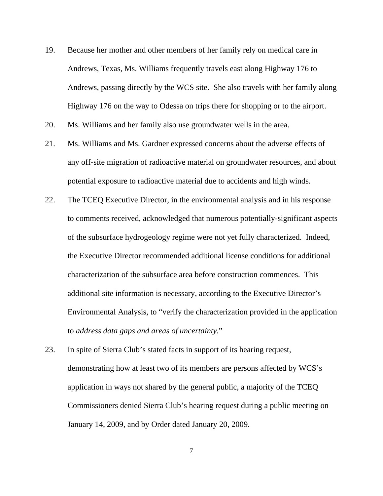- 19. Because her mother and other members of her family rely on medical care in Andrews, Texas, Ms. Williams frequently travels east along Highway 176 to Andrews, passing directly by the WCS site. She also travels with her family along Highway 176 on the way to Odessa on trips there for shopping or to the airport.
- 20. Ms. Williams and her family also use groundwater wells in the area.
- 21. Ms. Williams and Ms. Gardner expressed concerns about the adverse effects of any off-site migration of radioactive material on groundwater resources, and about potential exposure to radioactive material due to accidents and high winds.
- 22. The TCEQ Executive Director, in the environmental analysis and in his response to comments received, acknowledged that numerous potentially-significant aspects of the subsurface hydrogeology regime were not yet fully characterized. Indeed, the Executive Director recommended additional license conditions for additional characterization of the subsurface area before construction commences. This additional site information is necessary, according to the Executive Director's Environmental Analysis, to "verify the characterization provided in the application to *address data gaps and areas of uncertainty.*"
- 23. In spite of Sierra Club's stated facts in support of its hearing request, demonstrating how at least two of its members are persons affected by WCS's application in ways not shared by the general public, a majority of the TCEQ Commissioners denied Sierra Club's hearing request during a public meeting on January 14, 2009, and by Order dated January 20, 2009.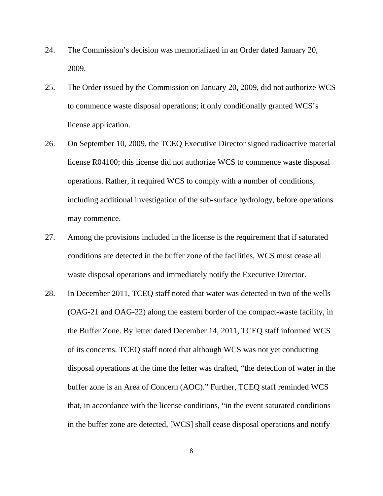- 24. The Commission's decision was memorialized in an Order dated January 20, 2009.
- 25. The Order issued by the Commission on January 20, 2009, did not authorize WCS to commence waste disposal operations; it only conditionally granted WCS's license application.
- 26. On September 10, 2009, the TCEQ Executive Director signed radioactive material license R04100; this license did not authorize WCS to commence waste disposal operations. Rather, it required WCS to comply with a number of conditions, including additional investigation of the sub-surface hydrology, before operations may commence.
- 27. Among the provisions included in the license is the requirement that if saturated conditions are detected in the buffer zone of the facilities, WCS must cease all waste disposal operations and immediately notify the Executive Director.
- 28. In December 2011, TCEQ staff noted that water was detected in two of the wells (OAG-21 and OAG-22) along the eastern border of the compact-waste facility, in the Buffer Zone. By letter dated December 14, 2011, TCEQ staff informed WCS of its concerns. TCEQ staff noted that although WCS was not yet conducting disposal operations at the time the letter was drafted, "the detection of water in the buffer zone is an Area of Concern (AOC)." Further, TCEQ staff reminded WCS that, in accordance with the license conditions, "in the event saturated conditions in the buffer zone are detected, [WCS] shall cease disposal operations and notify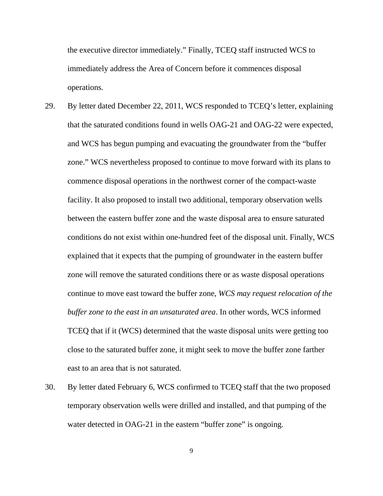the executive director immediately." Finally, TCEQ staff instructed WCS to immediately address the Area of Concern before it commences disposal operations.

- 29. By letter dated December 22, 2011, WCS responded to TCEQ's letter, explaining that the saturated conditions found in wells OAG-21 and OAG-22 were expected, and WCS has begun pumping and evacuating the groundwater from the "buffer zone." WCS nevertheless proposed to continue to move forward with its plans to commence disposal operations in the northwest corner of the compact-waste facility. It also proposed to install two additional, temporary observation wells between the eastern buffer zone and the waste disposal area to ensure saturated conditions do not exist within one-hundred feet of the disposal unit. Finally, WCS explained that it expects that the pumping of groundwater in the eastern buffer zone will remove the saturated conditions there or as waste disposal operations continue to move east toward the buffer zone, *WCS may request relocation of the buffer zone to the east in an unsaturated area*. In other words, WCS informed TCEQ that if it (WCS) determined that the waste disposal units were getting too close to the saturated buffer zone, it might seek to move the buffer zone farther east to an area that is not saturated.
- 30. By letter dated February 6, WCS confirmed to TCEQ staff that the two proposed temporary observation wells were drilled and installed, and that pumping of the water detected in OAG-21 in the eastern "buffer zone" is ongoing.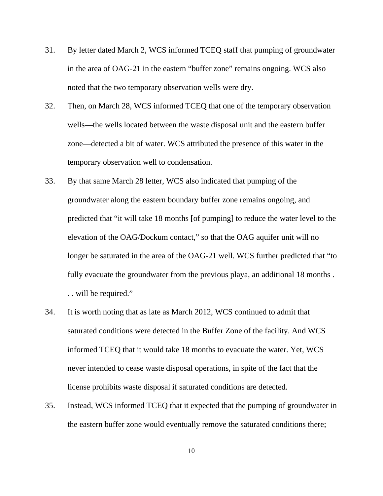- 31. By letter dated March 2, WCS informed TCEQ staff that pumping of groundwater in the area of OAG-21 in the eastern "buffer zone" remains ongoing. WCS also noted that the two temporary observation wells were dry.
- 32. Then, on March 28, WCS informed TCEQ that one of the temporary observation wells—the wells located between the waste disposal unit and the eastern buffer zone—detected a bit of water. WCS attributed the presence of this water in the temporary observation well to condensation.
- 33. By that same March 28 letter, WCS also indicated that pumping of the groundwater along the eastern boundary buffer zone remains ongoing, and predicted that "it will take 18 months [of pumping] to reduce the water level to the elevation of the OAG/Dockum contact," so that the OAG aquifer unit will no longer be saturated in the area of the OAG-21 well. WCS further predicted that "to fully evacuate the groundwater from the previous playa, an additional 18 months . . . will be required."
- 34. It is worth noting that as late as March 2012, WCS continued to admit that saturated conditions were detected in the Buffer Zone of the facility. And WCS informed TCEQ that it would take 18 months to evacuate the water. Yet, WCS never intended to cease waste disposal operations, in spite of the fact that the license prohibits waste disposal if saturated conditions are detected.
- 35. Instead, WCS informed TCEQ that it expected that the pumping of groundwater in the eastern buffer zone would eventually remove the saturated conditions there;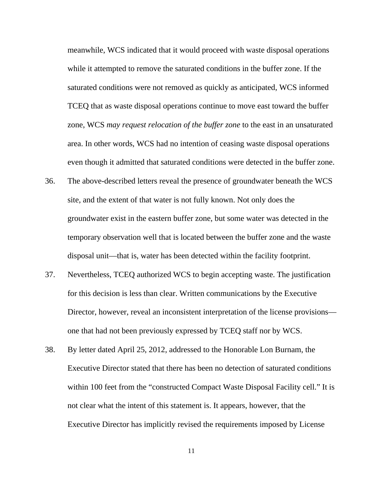meanwhile, WCS indicated that it would proceed with waste disposal operations while it attempted to remove the saturated conditions in the buffer zone. If the saturated conditions were not removed as quickly as anticipated, WCS informed TCEQ that as waste disposal operations continue to move east toward the buffer zone, WCS *may request relocation of the buffer zone* to the east in an unsaturated area. In other words, WCS had no intention of ceasing waste disposal operations even though it admitted that saturated conditions were detected in the buffer zone.

- 36. The above-described letters reveal the presence of groundwater beneath the WCS site, and the extent of that water is not fully known. Not only does the groundwater exist in the eastern buffer zone, but some water was detected in the temporary observation well that is located between the buffer zone and the waste disposal unit—that is, water has been detected within the facility footprint.
- 37. Nevertheless, TCEQ authorized WCS to begin accepting waste. The justification for this decision is less than clear. Written communications by the Executive Director, however, reveal an inconsistent interpretation of the license provisions one that had not been previously expressed by TCEQ staff nor by WCS.
- 38. By letter dated April 25, 2012, addressed to the Honorable Lon Burnam, the Executive Director stated that there has been no detection of saturated conditions within 100 feet from the "constructed Compact Waste Disposal Facility cell." It is not clear what the intent of this statement is. It appears, however, that the Executive Director has implicitly revised the requirements imposed by License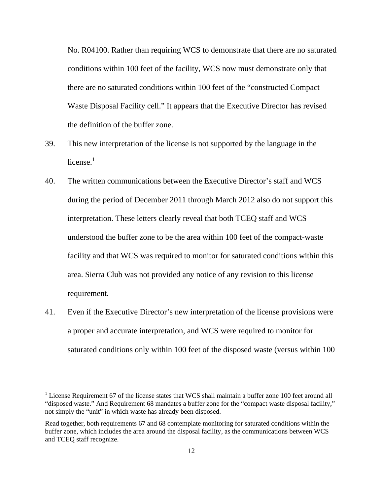No. R04100. Rather than requiring WCS to demonstrate that there are no saturated conditions within 100 feet of the facility, WCS now must demonstrate only that there are no saturated conditions within 100 feet of the "constructed Compact Waste Disposal Facility cell." It appears that the Executive Director has revised the definition of the buffer zone.

- 39. This new interpretation of the license is not supported by the language in the license. $1$
- 40. The written communications between the Executive Director's staff and WCS during the period of December 2011 through March 2012 also do not support this interpretation. These letters clearly reveal that both TCEQ staff and WCS understood the buffer zone to be the area within 100 feet of the compact-waste facility and that WCS was required to monitor for saturated conditions within this area. Sierra Club was not provided any notice of any revision to this license requirement.
- 41. Even if the Executive Director's new interpretation of the license provisions were a proper and accurate interpretation, and WCS were required to monitor for saturated conditions only within 100 feet of the disposed waste (versus within 100

 $\overline{a}$ 

<sup>&</sup>lt;sup>1</sup> License Requirement 67 of the license states that WCS shall maintain a buffer zone 100 feet around all "disposed waste." And Requirement 68 mandates a buffer zone for the "compact waste disposal facility," not simply the "unit" in which waste has already been disposed.

Read together, both requirements 67 and 68 contemplate monitoring for saturated conditions within the buffer zone, which includes the area around the disposal facility, as the communications between WCS and TCEQ staff recognize.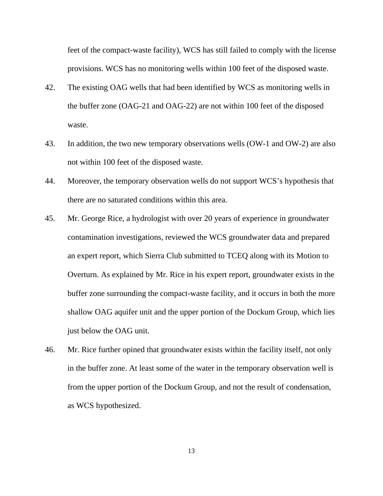feet of the compact-waste facility), WCS has still failed to comply with the license provisions. WCS has no monitoring wells within 100 feet of the disposed waste.

- 42. The existing OAG wells that had been identified by WCS as monitoring wells in the buffer zone (OAG-21 and OAG-22) are not within 100 feet of the disposed waste.
- 43. In addition, the two new temporary observations wells (OW-1 and OW-2) are also not within 100 feet of the disposed waste.
- 44. Moreover, the temporary observation wells do not support WCS's hypothesis that there are no saturated conditions within this area.
- 45. Mr. George Rice, a hydrologist with over 20 years of experience in groundwater contamination investigations, reviewed the WCS groundwater data and prepared an expert report, which Sierra Club submitted to TCEQ along with its Motion to Overturn. As explained by Mr. Rice in his expert report, groundwater exists in the buffer zone surrounding the compact-waste facility, and it occurs in both the more shallow OAG aquifer unit and the upper portion of the Dockum Group, which lies just below the OAG unit.
- 46. Mr. Rice further opined that groundwater exists within the facility itself, not only in the buffer zone. At least some of the water in the temporary observation well is from the upper portion of the Dockum Group, and not the result of condensation, as WCS hypothesized.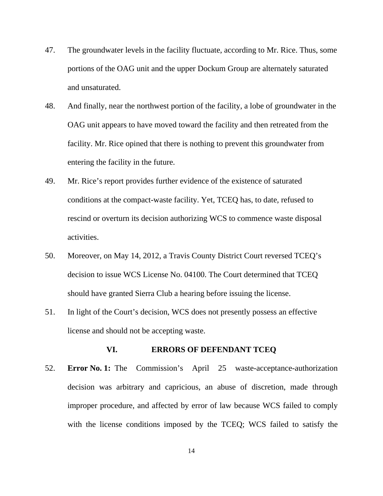- 47. The groundwater levels in the facility fluctuate, according to Mr. Rice. Thus, some portions of the OAG unit and the upper Dockum Group are alternately saturated and unsaturated.
- 48. And finally, near the northwest portion of the facility, a lobe of groundwater in the OAG unit appears to have moved toward the facility and then retreated from the facility. Mr. Rice opined that there is nothing to prevent this groundwater from entering the facility in the future.
- 49. Mr. Rice's report provides further evidence of the existence of saturated conditions at the compact-waste facility. Yet, TCEQ has, to date, refused to rescind or overturn its decision authorizing WCS to commence waste disposal activities.
- 50. Moreover, on May 14, 2012, a Travis County District Court reversed TCEQ's decision to issue WCS License No. 04100. The Court determined that TCEQ should have granted Sierra Club a hearing before issuing the license.
- 51. In light of the Court's decision, WCS does not presently possess an effective license and should not be accepting waste.

## **VI. ERRORS OF DEFENDANT TCEQ**

52. **Error No. 1:** The Commission's April 25 waste-acceptance-authorization decision was arbitrary and capricious, an abuse of discretion, made through improper procedure, and affected by error of law because WCS failed to comply with the license conditions imposed by the TCEQ; WCS failed to satisfy the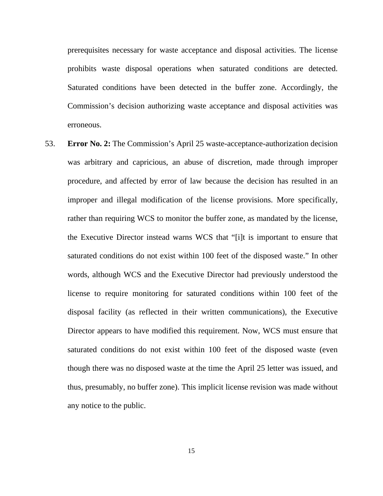prerequisites necessary for waste acceptance and disposal activities. The license prohibits waste disposal operations when saturated conditions are detected. Saturated conditions have been detected in the buffer zone. Accordingly, the Commission's decision authorizing waste acceptance and disposal activities was erroneous.

53. **Error No. 2:** The Commission's April 25 waste-acceptance-authorization decision was arbitrary and capricious, an abuse of discretion, made through improper procedure, and affected by error of law because the decision has resulted in an improper and illegal modification of the license provisions. More specifically, rather than requiring WCS to monitor the buffer zone, as mandated by the license, the Executive Director instead warns WCS that "[i]t is important to ensure that saturated conditions do not exist within 100 feet of the disposed waste." In other words, although WCS and the Executive Director had previously understood the license to require monitoring for saturated conditions within 100 feet of the disposal facility (as reflected in their written communications), the Executive Director appears to have modified this requirement. Now, WCS must ensure that saturated conditions do not exist within 100 feet of the disposed waste (even though there was no disposed waste at the time the April 25 letter was issued, and thus, presumably, no buffer zone). This implicit license revision was made without any notice to the public.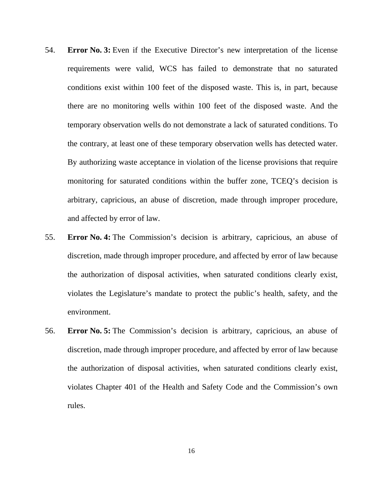- 54. **Error No. 3:** Even if the Executive Director's new interpretation of the license requirements were valid, WCS has failed to demonstrate that no saturated conditions exist within 100 feet of the disposed waste. This is, in part, because there are no monitoring wells within 100 feet of the disposed waste. And the temporary observation wells do not demonstrate a lack of saturated conditions. To the contrary, at least one of these temporary observation wells has detected water. By authorizing waste acceptance in violation of the license provisions that require monitoring for saturated conditions within the buffer zone, TCEQ's decision is arbitrary, capricious, an abuse of discretion, made through improper procedure, and affected by error of law.
- 55. **Error No. 4:** The Commission's decision is arbitrary, capricious, an abuse of discretion, made through improper procedure, and affected by error of law because the authorization of disposal activities, when saturated conditions clearly exist, violates the Legislature's mandate to protect the public's health, safety, and the environment.
- 56. **Error No. 5:** The Commission's decision is arbitrary, capricious, an abuse of discretion, made through improper procedure, and affected by error of law because the authorization of disposal activities, when saturated conditions clearly exist, violates Chapter 401 of the Health and Safety Code and the Commission's own rules.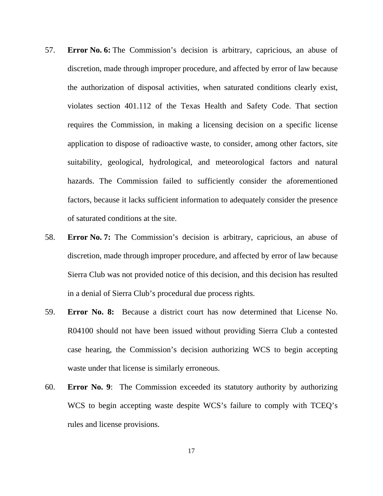- 57. **Error No. 6:** The Commission's decision is arbitrary, capricious, an abuse of discretion, made through improper procedure, and affected by error of law because the authorization of disposal activities, when saturated conditions clearly exist, violates section 401.112 of the Texas Health and Safety Code. That section requires the Commission, in making a licensing decision on a specific license application to dispose of radioactive waste, to consider, among other factors, site suitability, geological, hydrological, and meteorological factors and natural hazards. The Commission failed to sufficiently consider the aforementioned factors, because it lacks sufficient information to adequately consider the presence of saturated conditions at the site.
- 58. **Error No. 7:** The Commission's decision is arbitrary, capricious, an abuse of discretion, made through improper procedure, and affected by error of law because Sierra Club was not provided notice of this decision, and this decision has resulted in a denial of Sierra Club's procedural due process rights.
- 59. **Error No. 8:** Because a district court has now determined that License No. R04100 should not have been issued without providing Sierra Club a contested case hearing, the Commission's decision authorizing WCS to begin accepting waste under that license is similarly erroneous.
- 60. **Error No. 9**: The Commission exceeded its statutory authority by authorizing WCS to begin accepting waste despite WCS's failure to comply with TCEQ's rules and license provisions.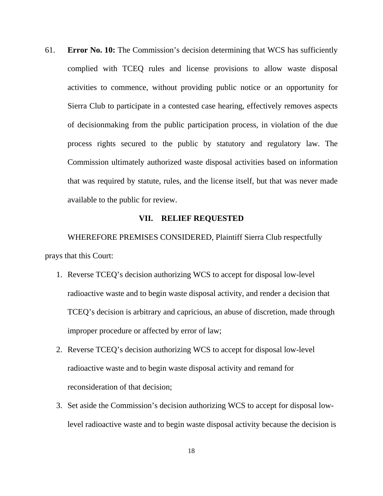61. **Error No. 10:** The Commission's decision determining that WCS has sufficiently complied with TCEQ rules and license provisions to allow waste disposal activities to commence, without providing public notice or an opportunity for Sierra Club to participate in a contested case hearing, effectively removes aspects of decisionmaking from the public participation process, in violation of the due process rights secured to the public by statutory and regulatory law. The Commission ultimately authorized waste disposal activities based on information that was required by statute, rules, and the license itself, but that was never made available to the public for review.

#### **VII. RELIEF REQUESTED**

 WHEREFORE PREMISES CONSIDERED, Plaintiff Sierra Club respectfully prays that this Court:

- 1. Reverse TCEQ's decision authorizing WCS to accept for disposal low-level radioactive waste and to begin waste disposal activity, and render a decision that TCEQ's decision is arbitrary and capricious, an abuse of discretion, made through improper procedure or affected by error of law;
- 2. Reverse TCEQ's decision authorizing WCS to accept for disposal low-level radioactive waste and to begin waste disposal activity and remand for reconsideration of that decision;
- 3. Set aside the Commission's decision authorizing WCS to accept for disposal lowlevel radioactive waste and to begin waste disposal activity because the decision is